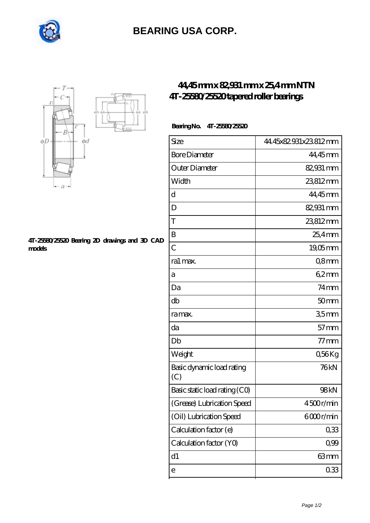

# **[BEARING USA CORP.](https://internationalbonsaiforum.com)**



#### **[4T-25580/25520 Bearing 2D drawings and 3D CAD](https://internationalbonsaiforum.com/pic-65127888.html) [models](https://internationalbonsaiforum.com/pic-65127888.html)**

## **[44,45 mm x 82,931 mm x 25,4 mm NTN](https://internationalbonsaiforum.com/ntn-4t-25580-25520-bearing/) [4T-25580/25520 tapered roller bearings](https://internationalbonsaiforum.com/ntn-4t-25580-25520-bearing/)**

### **Bearing No. 4T-25580/25520**

| Size                             | 44.45x82.931x23.812mm |
|----------------------------------|-----------------------|
| <b>Bore Diameter</b>             | 44,45mm               |
| Outer Diameter                   | 82,931 mm             |
| Width                            | 23812mm               |
| d                                | 44,45mm               |
| D                                | 82,931 mm             |
| T                                | 23812mm               |
| B                                | $25.4$ mm             |
| $\overline{C}$                   | $19,05$ mm            |
| ra1 max.                         | Q8mm                  |
| а                                | 62mm                  |
| Da                               | $74$ mm               |
| db                               | 50 <sub>mm</sub>      |
| ra max.                          | 35 <sub>mm</sub>      |
| da                               | $57$ mm               |
| Db                               | $77$ mm               |
| Weight                           | Q56Kg                 |
| Basic dynamic load rating<br>(C) | 76kN                  |
| Basic static load rating (CO)    | 98kN                  |
| (Grease) Lubrication Speed       | 4500r/min             |
| (Oil) Lubrication Speed          | 6000r/min             |
| Calculation factor (e)           | 033                   |
| Calculation factor (YO)          | 0,99                  |
| d1                               | 63mm                  |
| е                                | 033                   |